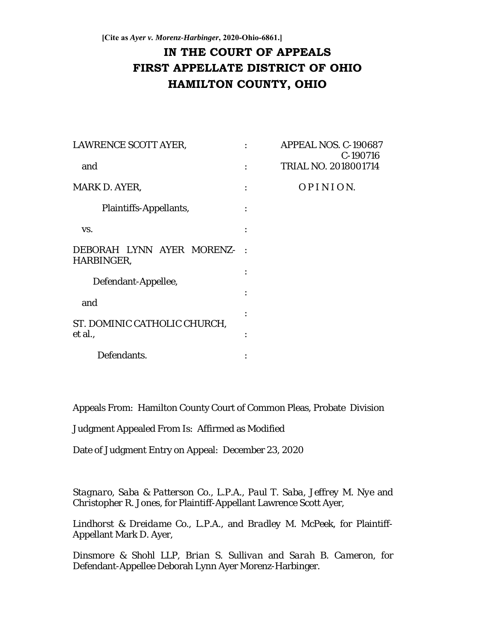# **IN THE COURT OF APPEALS FIRST APPELLATE DISTRICT OF OHIO HAMILTON COUNTY, OHIO**

| LAWRENCE SCOTT AYER,                    |        | APPEAL NOS. C-190687<br>C-190716 |
|-----------------------------------------|--------|----------------------------------|
| and                                     |        | TRIAL NO. 2018001714             |
| MARK D. AYER,                           |        | OPINION.                         |
| Plaintiffs-Appellants,                  |        |                                  |
| VS.                                     |        |                                  |
| DEBORAH LYNN AYER MORENZ-<br>HARBINGER, | $\sim$ |                                  |
| Defendant-Appellee,                     |        |                                  |
| and                                     |        |                                  |
| ST. DOMINIC CATHOLIC CHURCH,            |        |                                  |
| et al.,                                 |        |                                  |
| Defendants.                             |        |                                  |

Appeals From: Hamilton County Court of Common Pleas, Probate Division

Judgment Appealed From Is: Affirmed as Modified

Date of Judgment Entry on Appeal: December 23, 2020

*Stagnaro, Saba & Patterson Co., L.P.A.*, *Paul T. Saba*, *Jeffrey M. Nye* and *Christopher R. Jones*, for Plaintiff-Appellant Lawrence Scott Ayer,

*Lindhorst & Dreidame Co., L.P.A.*, and *Bradley M. McPeek*, for Plaintiff-Appellant Mark D. Ayer,

*Dinsmore & Shohl LLP*, *Brian S. Sullivan* and *Sarah B. Cameron*, for Defendant-Appellee Deborah Lynn Ayer Morenz-Harbinger.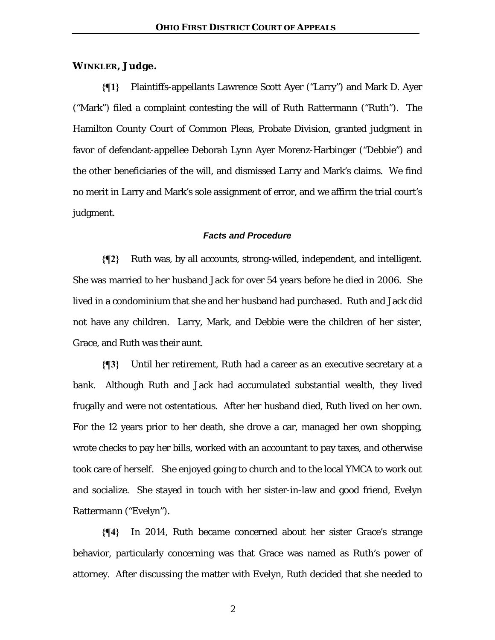# **WINKLER, Judge.**

**{¶1}** Plaintiffs-appellants Lawrence Scott Ayer ("Larry") and Mark D. Ayer ("Mark") filed a complaint contesting the will of Ruth Rattermann ("Ruth"). The Hamilton County Court of Common Pleas, Probate Division, granted judgment in favor of defendant-appellee Deborah Lynn Ayer Morenz-Harbinger ("Debbie") and the other beneficiaries of the will, and dismissed Larry and Mark's claims. We find no merit in Larry and Mark's sole assignment of error, and we affirm the trial court's judgment.

# *Facts and Procedure*

**{¶2}** Ruth was, by all accounts, strong-willed, independent, and intelligent. She was married to her husband Jack for over 54 years before he died in 2006. She lived in a condominium that she and her husband had purchased. Ruth and Jack did not have any children. Larry, Mark, and Debbie were the children of her sister, Grace, and Ruth was their aunt.

**{¶3}** Until her retirement, Ruth had a career as an executive secretary at a bank. Although Ruth and Jack had accumulated substantial wealth, they lived frugally and were not ostentatious. After her husband died, Ruth lived on her own. For the 12 years prior to her death, she drove a car, managed her own shopping, wrote checks to pay her bills, worked with an accountant to pay taxes, and otherwise took care of herself. She enjoyed going to church and to the local YMCA to work out and socialize. She stayed in touch with her sister-in-law and good friend, Evelyn Rattermann ("Evelyn").

**{¶4}** In 2014, Ruth became concerned about her sister Grace's strange behavior, particularly concerning was that Grace was named as Ruth's power of attorney. After discussing the matter with Evelyn, Ruth decided that she needed to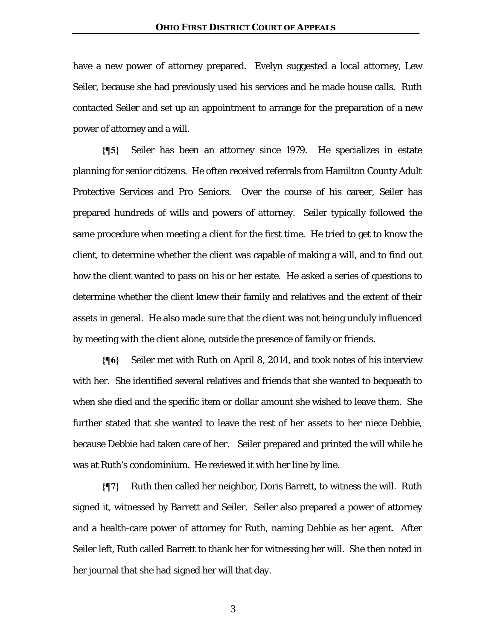have a new power of attorney prepared. Evelyn suggested a local attorney, Lew Seiler, because she had previously used his services and he made house calls. Ruth contacted Seiler and set up an appointment to arrange for the preparation of a new power of attorney and a will.

**{¶5}** Seiler has been an attorney since 1979. He specializes in estate planning for senior citizens. He often received referrals from Hamilton County Adult Protective Services and Pro Seniors. Over the course of his career, Seiler has prepared hundreds of wills and powers of attorney. Seiler typically followed the same procedure when meeting a client for the first time. He tried to get to know the client, to determine whether the client was capable of making a will, and to find out how the client wanted to pass on his or her estate. He asked a series of questions to determine whether the client knew their family and relatives and the extent of their assets in general. He also made sure that the client was not being unduly influenced by meeting with the client alone, outside the presence of family or friends.

**{¶6}** Seiler met with Ruth on April 8, 2014, and took notes of his interview with her. She identified several relatives and friends that she wanted to bequeath to when she died and the specific item or dollar amount she wished to leave them. She further stated that she wanted to leave the rest of her assets to her niece Debbie, because Debbie had taken care of her. Seiler prepared and printed the will while he was at Ruth's condominium. He reviewed it with her line by line.

**{¶7}** Ruth then called her neighbor, Doris Barrett, to witness the will. Ruth signed it, witnessed by Barrett and Seiler. Seiler also prepared a power of attorney and a health-care power of attorney for Ruth, naming Debbie as her agent. After Seiler left, Ruth called Barrett to thank her for witnessing her will. She then noted in her journal that she had signed her will that day.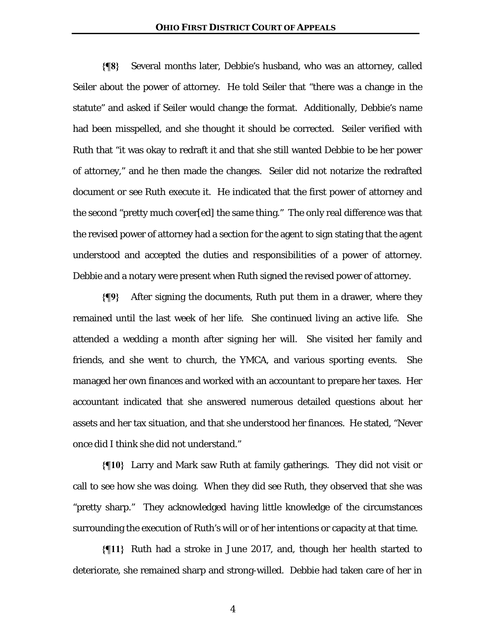**{¶8}** Several months later, Debbie's husband, who was an attorney, called Seiler about the power of attorney. He told Seiler that "there was a change in the statute" and asked if Seiler would change the format. Additionally, Debbie's name had been misspelled, and she thought it should be corrected. Seiler verified with Ruth that "it was okay to redraft it and that she still wanted Debbie to be her power of attorney," and he then made the changes. Seiler did not notarize the redrafted document or see Ruth execute it. He indicated that the first power of attorney and the second "pretty much cover[ed] the same thing." The only real difference was that the revised power of attorney had a section for the agent to sign stating that the agent understood and accepted the duties and responsibilities of a power of attorney. Debbie and a notary were present when Ruth signed the revised power of attorney.

**{¶9}** After signing the documents, Ruth put them in a drawer, where they remained until the last week of her life. She continued living an active life. She attended a wedding a month after signing her will. She visited her family and friends, and she went to church, the YMCA, and various sporting events. She managed her own finances and worked with an accountant to prepare her taxes. Her accountant indicated that she answered numerous detailed questions about her assets and her tax situation, and that she understood her finances. He stated, "Never once did I think she did not understand."

**{¶10}** Larry and Mark saw Ruth at family gatherings. They did not visit or call to see how she was doing. When they did see Ruth, they observed that she was "pretty sharp." They acknowledged having little knowledge of the circumstances surrounding the execution of Ruth's will or of her intentions or capacity at that time.

**{¶11}** Ruth had a stroke in June 2017, and, though her health started to deteriorate, she remained sharp and strong-willed. Debbie had taken care of her in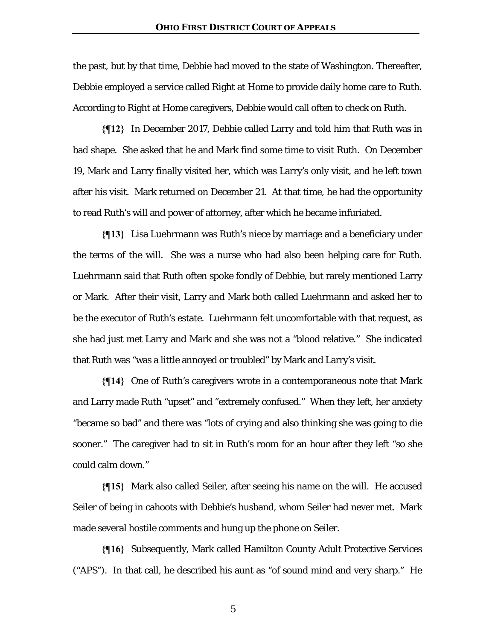the past, but by that time, Debbie had moved to the state of Washington. Thereafter, Debbie employed a service called Right at Home to provide daily home care to Ruth. According to Right at Home caregivers, Debbie would call often to check on Ruth.

**{¶12}** In December 2017, Debbie called Larry and told him that Ruth was in bad shape. She asked that he and Mark find some time to visit Ruth. On December 19, Mark and Larry finally visited her, which was Larry's only visit, and he left town after his visit. Mark returned on December 21. At that time, he had the opportunity to read Ruth's will and power of attorney, after which he became infuriated.

**{¶13}** Lisa Luehrmann was Ruth's niece by marriage and a beneficiary under the terms of the will. She was a nurse who had also been helping care for Ruth. Luehrmann said that Ruth often spoke fondly of Debbie, but rarely mentioned Larry or Mark. After their visit, Larry and Mark both called Luehrmann and asked her to be the executor of Ruth's estate. Luehrmann felt uncomfortable with that request, as she had just met Larry and Mark and she was not a "blood relative." She indicated that Ruth was "was a little annoyed or troubled" by Mark and Larry's visit.

**{¶14}** One of Ruth's caregivers wrote in a contemporaneous note that Mark and Larry made Ruth "upset" and "extremely confused." When they left, her anxiety "became so bad" and there was "lots of crying and also thinking she was going to die sooner." The caregiver had to sit in Ruth's room for an hour after they left "so she could calm down."

**{¶15}** Mark also called Seiler, after seeing his name on the will. He accused Seiler of being in cahoots with Debbie's husband, whom Seiler had never met. Mark made several hostile comments and hung up the phone on Seiler.

**{¶16}** Subsequently, Mark called Hamilton County Adult Protective Services ("APS"). In that call, he described his aunt as "of sound mind and very sharp." He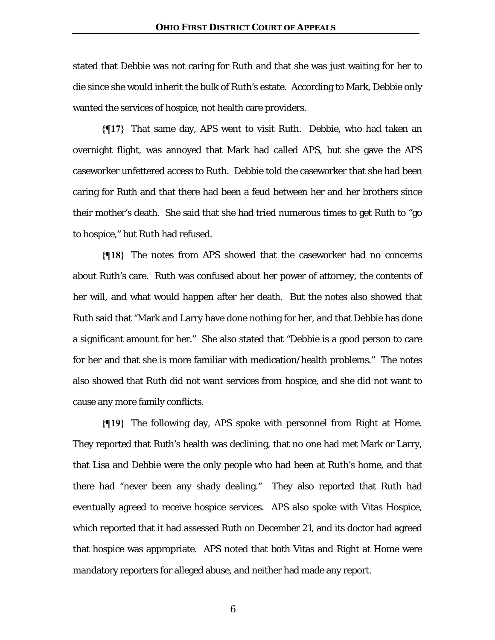stated that Debbie was not caring for Ruth and that she was just waiting for her to die since she would inherit the bulk of Ruth's estate. According to Mark, Debbie only wanted the services of hospice, not health care providers.

**{¶17}** That same day, APS went to visit Ruth. Debbie, who had taken an overnight flight, was annoyed that Mark had called APS, but she gave the APS caseworker unfettered access to Ruth. Debbie told the caseworker that she had been caring for Ruth and that there had been a feud between her and her brothers since their mother's death. She said that she had tried numerous times to get Ruth to "go to hospice," but Ruth had refused.

**{¶18}** The notes from APS showed that the caseworker had no concerns about Ruth's care. Ruth was confused about her power of attorney, the contents of her will, and what would happen after her death. But the notes also showed that Ruth said that "Mark and Larry have done nothing for her, and that Debbie has done a significant amount for her." She also stated that "Debbie is a good person to care for her and that she is more familiar with medication/health problems." The notes also showed that Ruth did not want services from hospice, and she did not want to cause any more family conflicts.

**{¶19}** The following day, APS spoke with personnel from Right at Home. They reported that Ruth's health was declining, that no one had met Mark or Larry, that Lisa and Debbie were the only people who had been at Ruth's home, and that there had "never been any shady dealing." They also reported that Ruth had eventually agreed to receive hospice services. APS also spoke with Vitas Hospice, which reported that it had assessed Ruth on December 21, and its doctor had agreed that hospice was appropriate. APS noted that both Vitas and Right at Home were mandatory reporters for alleged abuse, and neither had made any report.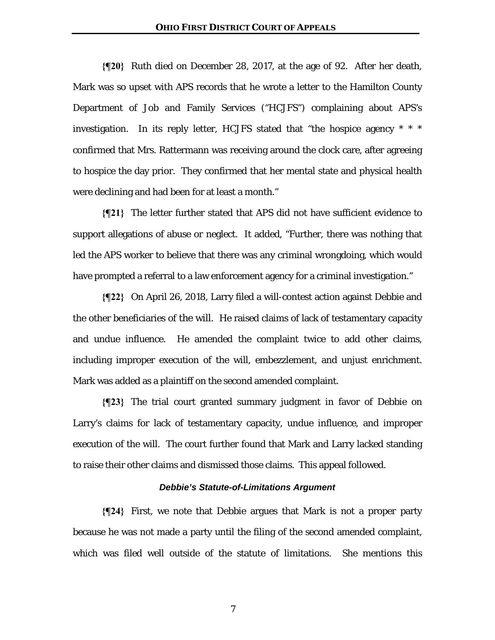**{¶20}** Ruth died on December 28, 2017, at the age of 92. After her death, Mark was so upset with APS records that he wrote a letter to the Hamilton County Department of Job and Family Services ("HCJFS") complaining about APS's investigation. In its reply letter, HCJFS stated that "the hospice agency \* \* \* confirmed that Mrs. Rattermann was receiving around the clock care, after agreeing to hospice the day prior. They confirmed that her mental state and physical health were declining and had been for at least a month."

**{¶21}** The letter further stated that APS did not have sufficient evidence to support allegations of abuse or neglect. It added, "Further, there was nothing that led the APS worker to believe that there was any criminal wrongdoing, which would have prompted a referral to a law enforcement agency for a criminal investigation."

**{¶22}** On April 26, 2018, Larry filed a will-contest action against Debbie and the other beneficiaries of the will. He raised claims of lack of testamentary capacity and undue influence. He amended the complaint twice to add other claims, including improper execution of the will, embezzlement, and unjust enrichment. Mark was added as a plaintiff on the second amended complaint.

**{¶23}** The trial court granted summary judgment in favor of Debbie on Larry's claims for lack of testamentary capacity, undue influence, and improper execution of the will. The court further found that Mark and Larry lacked standing to raise their other claims and dismissed those claims. This appeal followed.

## *Debbie's Statute-of-Limitations Argument*

**{¶24}** First, we note that Debbie argues that Mark is not a proper party because he was not made a party until the filing of the second amended complaint, which was filed well outside of the statute of limitations. She mentions this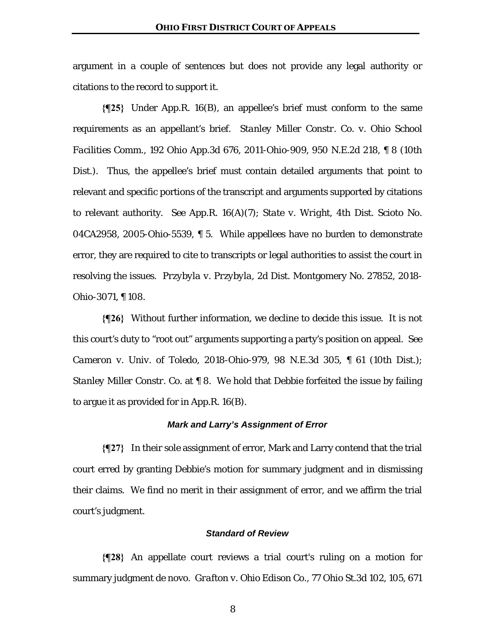argument in a couple of sentences but does not provide any legal authority or citations to the record to support it.

**{¶25}** Under App.R. 16(B), an appellee's brief must conform to the same requirements as an appellant's brief. *Stanley Miller Constr. Co. v. Ohio School Facilities Comm.*, 192 Ohio App.3d 676, 2011-Ohio-909, 950 N.E.2d 218, ¶ 8 (10th Dist.). Thus, the appellee's brief must contain detailed arguments that point to relevant and specific portions of the transcript and arguments supported by citations to relevant authority. *See* App.R. 16(A)(7); *State v. Wright*, 4th Dist. Scioto No. 04CA2958, 2005-Ohio-5539, ¶ 5. While appellees have no burden to demonstrate error, they are required to cite to transcripts or legal authorities to assist the court in resolving the issues. *Przybyla v. Przybyla*, 2d Dist. Montgomery No. 27852, 2018- Ohio-3071, ¶ 108.

**{¶26}** Without further information, we decline to decide this issue. It is not this court's duty to "root out" arguments supporting a party's position on appeal. *See Cameron v. Univ. of Toledo*, 2018-Ohio-979, 98 N.E.3d 305, ¶ 61 (10th Dist.); *Stanley Miller Constr. Co.* at ¶ 8. We hold that Debbie forfeited the issue by failing to argue it as provided for in App.R. 16(B).

### *Mark and Larry's Assignment of Error*

**{¶27}** In their sole assignment of error, Mark and Larry contend that the trial court erred by granting Debbie's motion for summary judgment and in dismissing their claims. We find no merit in their assignment of error, and we affirm the trial court's judgment.

## *Standard of Review*

**{¶28}** An appellate court reviews a trial court's ruling on a motion for summary judgment de novo. *Grafton v. Ohio Edison Co.*, 77 Ohio St.3d 102, 105, 671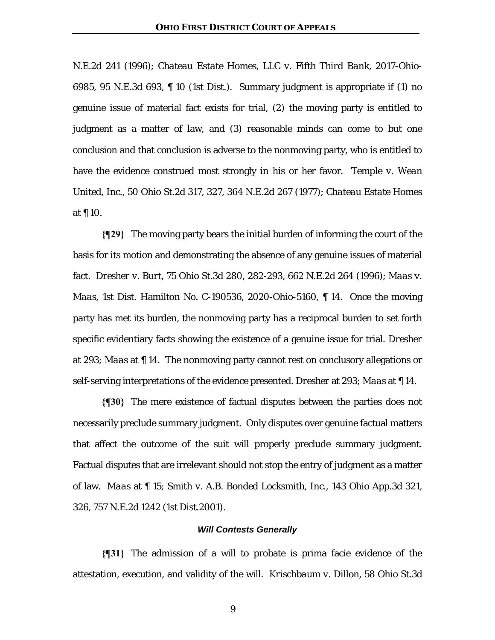N.E.2d 241 (1996); *Chateau Estate Homes, LLC v. Fifth Third Bank*, 2017-Ohio-6985, 95 N.E.3d 693, ¶ 10 (1st Dist.). Summary judgment is appropriate if (1) no genuine issue of material fact exists for trial, (2) the moving party is entitled to judgment as a matter of law, and (3) reasonable minds can come to but one conclusion and that conclusion is adverse to the nonmoving party, who is entitled to have the evidence construed most strongly in his or her favor. *Temple v. Wean United, Inc.*, 50 Ohio St.2d 317, 327, 364 N.E.2d 267 (1977); *Chateau Estate Homes* at ¶ 10.

**{¶29}** The moving party bears the initial burden of informing the court of the basis for its motion and demonstrating the absence of any genuine issues of material fact. *Dresher v. Burt*, 75 Ohio St.3d 280, 282-293, 662 N.E.2d 264 (1996); *Maas v. Maas*, 1st Dist. Hamilton No. C-190536, 2020-Ohio-5160, ¶ 14. Once the moving party has met its burden, the nonmoving party has a reciprocal burden to set forth specific evidentiary facts showing the existence of a genuine issue for trial. *Dresher* at 293; *Maas* at ¶ 14. The nonmoving party cannot rest on conclusory allegations or self-serving interpretations of the evidence presented. *Dresher* at 293; *Maas* at ¶ 14.

**{¶30}** The mere existence of factual disputes between the parties does not necessarily preclude summary judgment. Only disputes over genuine factual matters that affect the outcome of the suit will properly preclude summary judgment. Factual disputes that are irrelevant should not stop the entry of judgment as a matter of law. *Maas* at ¶ 15; *Smith v. A.B. Bonded Locksmith, Inc.*, 143 Ohio App.3d 321, 326, 757 N.E.2d 1242 (1st Dist.2001).

## *Will Contests Generally*

**{¶31}** The admission of a will to probate is prima facie evidence of the attestation, execution, and validity of the will. *Krischbaum v. Dillon*, 58 Ohio St.3d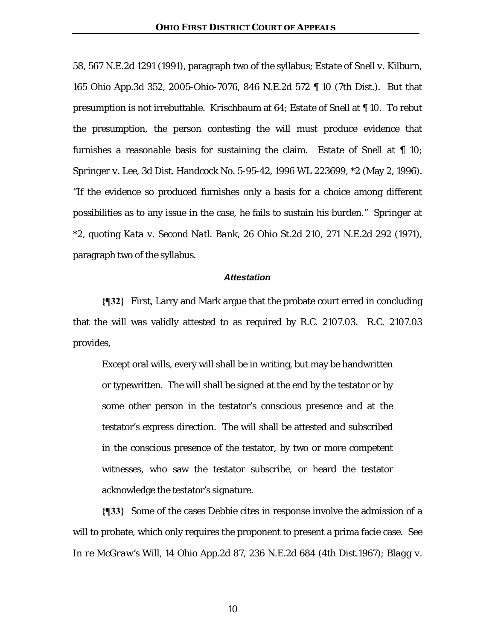58, 567 N.E.2d 1291 (1991), paragraph two of the syllabus; *Estate of Snell v. Kilburn*, 165 Ohio App.3d 352, 2005-Ohio-7076, 846 N.E.2d 572 ¶ 10 (7th Dist.). But that presumption is not irrebuttable. *Krischbaum* at 64; *Estate of Snell* at ¶ 10. To rebut the presumption, the person contesting the will must produce evidence that furnishes a reasonable basis for sustaining the claim. *Estate of Snell* at ¶ 10; *Springer v. Lee*, 3d Dist. Handcock No. 5-95-42, 1996 WL 223699, \*2 (May 2, 1996). "If the evidence so produced furnishes only a basis for a choice among different possibilities as to any issue in the case, he fails to sustain his burden." *Springer* at \*2, quoting *Kata v. Second Natl. Bank*, 26 Ohio St.2d 210, 271 N.E.2d 292 (1971), paragraph two of the syllabus.

#### *Attestation*

**{¶32}** First, Larry and Mark argue that the probate court erred in concluding that the will was validly attested to as required by R.C. 2107.03. R.C. 2107.03 provides,

Except oral wills, every will shall be in writing, but may be handwritten or typewritten. The will shall be signed at the end by the testator or by some other person in the testator's conscious presence and at the testator's express direction. The will shall be attested and subscribed in the conscious presence of the testator, by two or more competent witnesses, who saw the testator subscribe, or heard the testator acknowledge the testator's signature.

**{¶33}** Some of the cases Debbie cites in response involve the admission of a will to probate, which only requires the proponent to present a prima facie case. *See In re McGraw's Will*, 14 Ohio App.2d 87, 236 N.E.2d 684 (4th Dist.1967); *Blagg v.*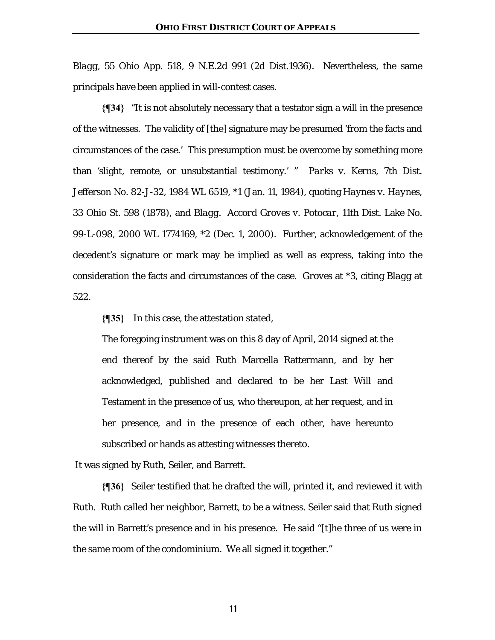*Blagg*, 55 Ohio App. 518, 9 N.E.2d 991 (2d Dist.1936). Nevertheless, the same principals have been applied in will-contest cases.

**{¶34}** "It is not absolutely necessary that a testator sign a will in the presence of the witnesses. The validity of [the] signature may be presumed 'from the facts and circumstances of the case.' This presumption must be overcome by something more than 'slight, remote, or unsubstantial testimony.' " *Parks v. Kerns*, 7th Dist. Jefferson No. 82-J-32, 1984 WL 6519, \*1 (Jan. 11, 1984), quoting *Haynes v. Haynes*, 33 Ohio St. 598 (1878), and *Blagg*. *Accord Groves v. Potocar*, 11th Dist. Lake No. 99-L-098, 2000 WL 1774169, \*2 (Dec. 1, 2000). Further, acknowledgement of the decedent's signature or mark may be implied as well as express, taking into the consideration the facts and circumstances of the case. *Groves* at \*3, citing *Blagg* at 522.

**{¶35}** In this case, the attestation stated,

The foregoing instrument was on this 8 day of April, 2014 signed at the end thereof by the said Ruth Marcella Rattermann, and by her acknowledged, published and declared to be her Last Will and Testament in the presence of us, who thereupon, at her request, and in her presence, and in the presence of each other, have hereunto subscribed or hands as attesting witnesses thereto.

It was signed by Ruth, Seiler, and Barrett.

**{¶36}** Seiler testified that he drafted the will, printed it, and reviewed it with Ruth. Ruth called her neighbor, Barrett, to be a witness. Seiler said that Ruth signed the will in Barrett's presence and in his presence. He said "[t]he three of us were in the same room of the condominium. We all signed it together."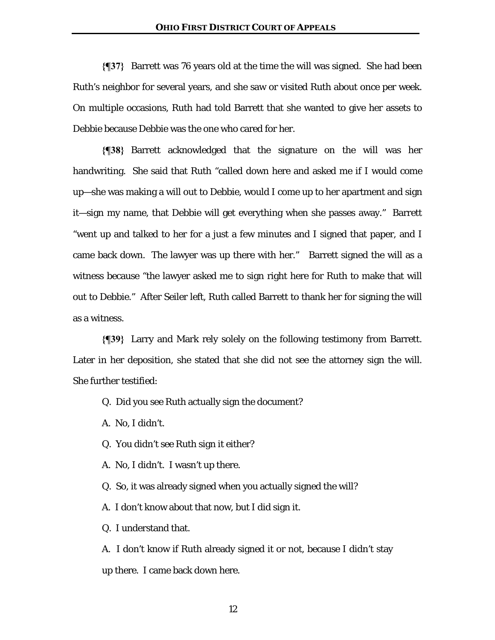**{¶37}** Barrett was 76 years old at the time the will was signed. She had been Ruth's neighbor for several years, and she saw or visited Ruth about once per week. On multiple occasions, Ruth had told Barrett that she wanted to give her assets to Debbie because Debbie was the one who cared for her.

**{¶38}** Barrett acknowledged that the signature on the will was her handwriting. She said that Ruth "called down here and asked me if I would come up—she was making a will out to Debbie, would I come up to her apartment and sign it—sign my name, that Debbie will get everything when she passes away." Barrett "went up and talked to her for a just a few minutes and I signed that paper, and I came back down. The lawyer was up there with her." Barrett signed the will as a witness because "the lawyer asked me to sign right here for Ruth to make that will out to Debbie." After Seiler left, Ruth called Barrett to thank her for signing the will as a witness.

**{¶39}** Larry and Mark rely solely on the following testimony from Barrett. Later in her deposition, she stated that she did not see the attorney sign the will. She further testified:

- Q. Did you see Ruth actually sign the document?
- A. No, I didn't.
- Q. You didn't see Ruth sign it either?
- A. No, I didn't. I wasn't up there.
- Q. So, it was already signed when you actually signed the will?
- A. I don't know about that now, but I did sign it.
- Q. I understand that.

A. I don't know if Ruth already signed it or not, because I didn't stay up there. I came back down here.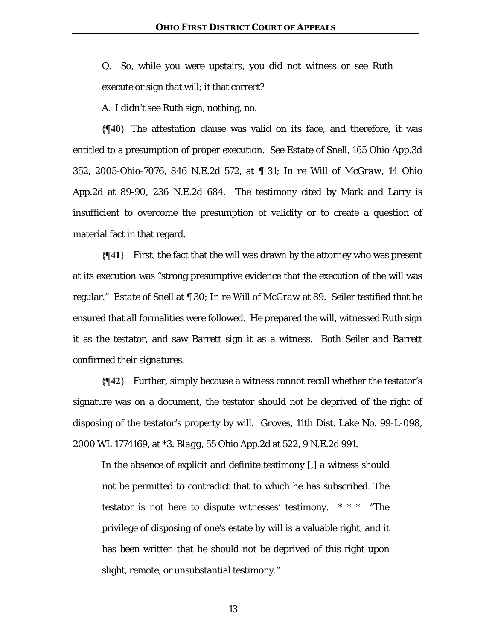Q. So, while you were upstairs, you did not witness or see Ruth execute or sign that will; it that correct?

A. I didn't see Ruth sign, nothing, no.

**{¶40}** The attestation clause was valid on its face, and therefore, it was entitled to a presumption of proper execution. *See Estate of Snell*, 165 Ohio App.3d 352, 2005-Ohio-7076, 846 N.E.2d 572, at ¶ 31; *In re Will of McGraw*, 14 Ohio App.2d at 89-90, 236 N.E.2d 684. The testimony cited by Mark and Larry is insufficient to overcome the presumption of validity or to create a question of material fact in that regard.

**{¶41}** First, the fact that the will was drawn by the attorney who was present at its execution was "strong presumptive evidence that the execution of the will was regular." *Estate of Snell* at ¶ 30; *In re Will of McGraw* at 89. Seiler testified that he ensured that all formalities were followed. He prepared the will, witnessed Ruth sign it as the testator, and saw Barrett sign it as a witness. Both Seiler and Barrett confirmed their signatures.

**{¶42}** Further, simply because a witness cannot recall whether the testator's signature was on a document, the testator should not be deprived of the right of disposing of the testator's property by will. *Groves*, 11th Dist. Lake No. 99-L-098, 2000 WL 1774169, at \*3. *Blagg*, 55 Ohio App.2d at 522, 9 N.E.2d 991.

In the absence of explicit and definite testimony [,] a witness should not be permitted to contradict that to which he has subscribed. The testator is not here to dispute witnesses' testimony. \* \* \* "The privilege of disposing of one's estate by will is a valuable right, and it has been written that he should not be deprived of this right upon slight, remote, or unsubstantial testimony."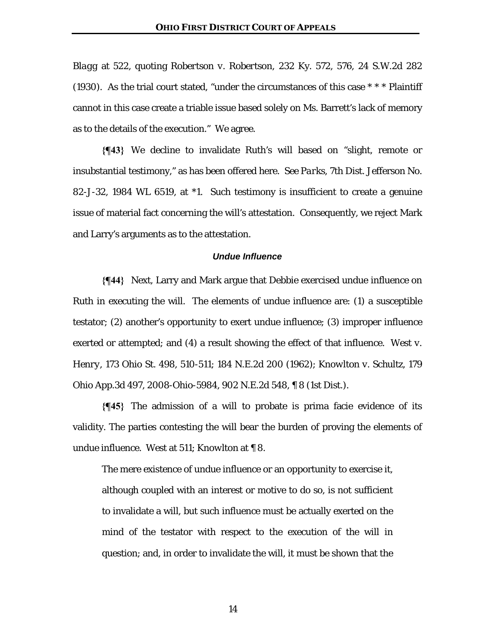*Blagg* at 522, quoting *Robertson v. Robertson*, 232 Ky. 572, 576, 24 S.W.2d 282 (1930). As the trial court stated, "under the circumstances of this case  $* * *$  Plaintiff cannot in this case create a triable issue based solely on Ms. Barrett's lack of memory as to the details of the execution." We agree.

**{¶43}** We decline to invalidate Ruth's will based on "slight, remote or insubstantial testimony," as has been offered here. *See Parks*, 7th Dist. Jefferson No. 82-J-32, 1984 WL 6519, at \*1. Such testimony is insufficient to create a genuine issue of material fact concerning the will's attestation. Consequently, we reject Mark and Larry's arguments as to the attestation.

#### *Undue Influence*

**{¶44}** Next, Larry and Mark argue that Debbie exercised undue influence on Ruth in executing the will. The elements of undue influence are: (1) a susceptible testator; (2) another's opportunity to exert undue influence; (3) improper influence exerted or attempted; and (4) a result showing the effect of that influence. *West v. Henry*, 173 Ohio St. 498, 510-511; 184 N.E.2d 200 (1962); *Knowlton v. Schultz*, 179 Ohio App.3d 497, 2008-Ohio-5984, 902 N.E.2d 548, ¶ 8 (1st Dist.).

**{¶45}** The admission of a will to probate is prima facie evidence of its validity. The parties contesting the will bear the burden of proving the elements of undue influence. *West* at 511; *Knowlton* at ¶ 8.

The mere existence of undue influence or an opportunity to exercise it, although coupled with an interest or motive to do so, is not sufficient to invalidate a will, but such influence must be actually exerted on the mind of the testator with respect to the execution of the will in question; and, in order to invalidate the will, it must be shown that the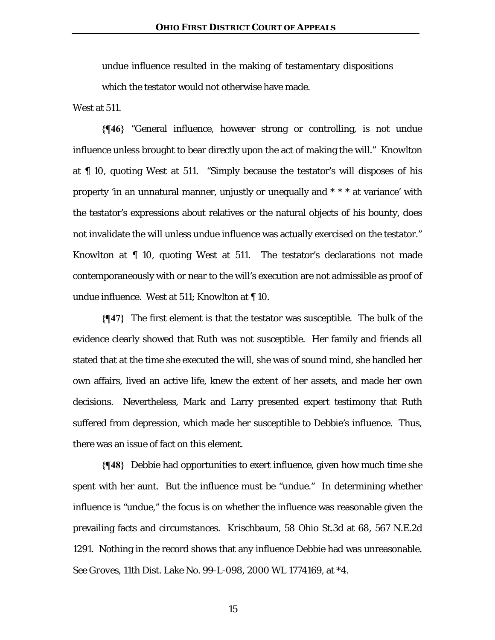undue influence resulted in the making of testamentary dispositions which the testator would not otherwise have made.

*West* at 511.

**{¶46}** "General influence, however strong or controlling, is not undue influence unless brought to bear directly upon the act of making the will." *Knowlton* at ¶ 10, quoting *West* at 511*.* "Simply because the testator's will disposes of his property 'in an unnatural manner, unjustly or unequally and \* \* \* at variance' with the testator's expressions about relatives or the natural objects of his bounty, does not invalidate the will unless undue influence was actually exercised on the testator." *Knowlton* at ¶ 10, quoting *West* at 511. The testator's declarations not made contemporaneously with or near to the will's execution are not admissible as proof of undue influence. *West* at 511; *Knowlton* at ¶ 10.

**{¶47}** The first element is that the testator was susceptible. The bulk of the evidence clearly showed that Ruth was not susceptible. Her family and friends all stated that at the time she executed the will, she was of sound mind, she handled her own affairs, lived an active life, knew the extent of her assets, and made her own decisions. Nevertheless, Mark and Larry presented expert testimony that Ruth suffered from depression, which made her susceptible to Debbie's influence. Thus, there was an issue of fact on this element.

**{¶48}** Debbie had opportunities to exert influence, given how much time she spent with her aunt. But the influence must be "undue." In determining whether influence is "undue," the focus is on whether the influence was reasonable given the prevailing facts and circumstances. *Krischbaum*, 58 Ohio St.3d at 68, 567 N.E.2d 1291. Nothing in the record shows that any influence Debbie had was unreasonable. *See Groves*, 11th Dist. Lake No. 99-L-098, 2000 WL 1774169, at \*4.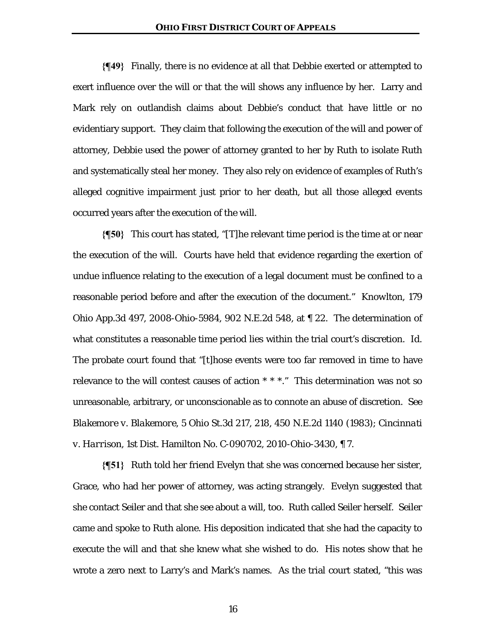**{¶49}** Finally, there is no evidence at all that Debbie exerted or attempted to exert influence over the will or that the will shows any influence by her. Larry and Mark rely on outlandish claims about Debbie's conduct that have little or no evidentiary support. They claim that following the execution of the will and power of attorney, Debbie used the power of attorney granted to her by Ruth to isolate Ruth and systematically steal her money. They also rely on evidence of examples of Ruth's alleged cognitive impairment just prior to her death, but all those alleged events occurred years after the execution of the will.

**{¶50}** This court has stated, "[T]he relevant time period is the time at or near the execution of the will. Courts have held that evidence regarding the exertion of undue influence relating to the execution of a legal document must be confined to a reasonable period before and after the execution of the document." *Knowlton*, 179 Ohio App.3d 497, 2008-Ohio-5984, 902 N.E.2d 548, at ¶ 22. The determination of what constitutes a reasonable time period lies within the trial court's discretion. *Id.* The probate court found that "[t]hose events were too far removed in time to have relevance to the will contest causes of action \* \* \*." This determination was not so unreasonable, arbitrary, or unconscionable as to connote an abuse of discretion. *See Blakemore v. Blakemore*, 5 Ohio St.3d 217, 218, 450 N.E.2d 1140 (1983); *Cincinnati v. Harrison*, 1st Dist. Hamilton No. C-090702, 2010-Ohio-3430, ¶ 7.

**{¶51}** Ruth told her friend Evelyn that she was concerned because her sister, Grace, who had her power of attorney, was acting strangely. Evelyn suggested that she contact Seiler and that she see about a will, too. Ruth called Seiler herself. Seiler came and spoke to Ruth alone. His deposition indicated that she had the capacity to execute the will and that she knew what she wished to do. His notes show that he wrote a zero next to Larry's and Mark's names. As the trial court stated, "this was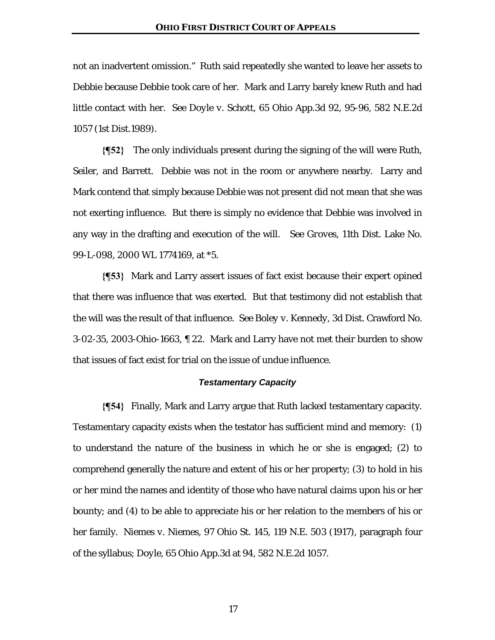not an inadvertent omission." Ruth said repeatedly she wanted to leave her assets to Debbie because Debbie took care of her. Mark and Larry barely knew Ruth and had little contact with her. *See Doyle v. Schott*, 65 Ohio App.3d 92, 95-96, 582 N.E.2d 1057 (1st Dist.1989).

**{¶52}** The only individuals present during the signing of the will were Ruth, Seiler, and Barrett. Debbie was not in the room or anywhere nearby. Larry and Mark contend that simply because Debbie was not present did not mean that she was not exerting influence. But there is simply no evidence that Debbie was involved in any way in the drafting and execution of the will. *See Groves*, 11th Dist. Lake No. 99-L-098, 2000 WL 1774169, at \*5.

**{¶53}** Mark and Larry assert issues of fact exist because their expert opined that there was influence that was exerted. But that testimony did not establish that the will was the result of that influence. *See Boley v. Kennedy*, 3d Dist. Crawford No. 3-02-35, 2003-Ohio-1663, ¶ 22. Mark and Larry have not met their burden to show that issues of fact exist for trial on the issue of undue influence.

## *Testamentary Capacity*

**{¶54}** Finally, Mark and Larry argue that Ruth lacked testamentary capacity. Testamentary capacity exists when the testator has sufficient mind and memory: (1) to understand the nature of the business in which he or she is engaged; (2) to comprehend generally the nature and extent of his or her property; (3) to hold in his or her mind the names and identity of those who have natural claims upon his or her bounty; and (4) to be able to appreciate his or her relation to the members of his or her family. *Niemes v. Niemes*, 97 Ohio St. 145, 119 N.E. 503 (1917), paragraph four of the syllabus; *Doyle*, 65 Ohio App.3d at 94, 582 N.E.2d 1057.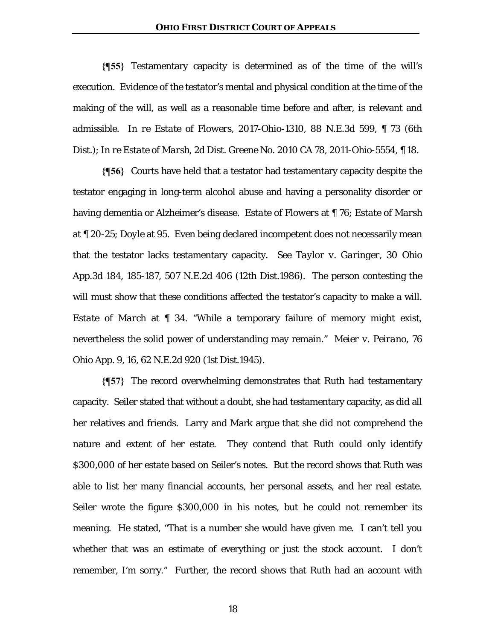#### **OHIO FIRST DISTRICT COURT OF APPEALS**

**{¶55}** Testamentary capacity is determined as of the time of the will's execution. Evidence of the testator's mental and physical condition at the time of the making of the will, as well as a reasonable time before and after, is relevant and admissible. *In re Estate of Flowers*, 2017-Ohio-1310, 88 N.E.3d 599, ¶ 73 (6th Dist.); *In re Estate of Marsh*, 2d Dist. Greene No. 2010 CA 78, 2011-Ohio-5554, ¶ 18.

**{¶56}** Courts have held that a testator had testamentary capacity despite the testator engaging in long-term alcohol abuse and having a personality disorder or having dementia or Alzheimer's disease. *Estate of Flowers* at ¶ 76; *Estate of Marsh* at ¶ 20-25; *Doyle* at 95. Even being declared incompetent does not necessarily mean that the testator lacks testamentary capacity. *See Taylor v. Garinger*, 30 Ohio App.3d 184, 185-187, 507 N.E.2d 406 (12th Dist.1986). The person contesting the will must show that these conditions affected the testator's capacity to make a will*. Estate of March* at ¶ 34. "While a temporary failure of memory might exist, nevertheless the solid power of understanding may remain." *Meier v. Peirano*, 76 Ohio App. 9, 16, 62 N.E.2d 920 (1st Dist.1945).

**{¶57}** The record overwhelming demonstrates that Ruth had testamentary capacity. Seiler stated that without a doubt, she had testamentary capacity, as did all her relatives and friends. Larry and Mark argue that she did not comprehend the nature and extent of her estate. They contend that Ruth could only identify \$300,000 of her estate based on Seiler's notes. But the record shows that Ruth was able to list her many financial accounts, her personal assets, and her real estate. Seiler wrote the figure \$300,000 in his notes, but he could not remember its meaning. He stated, "That is a number she would have given me. I can't tell you whether that was an estimate of everything or just the stock account. I don't remember, I'm sorry." Further, the record shows that Ruth had an account with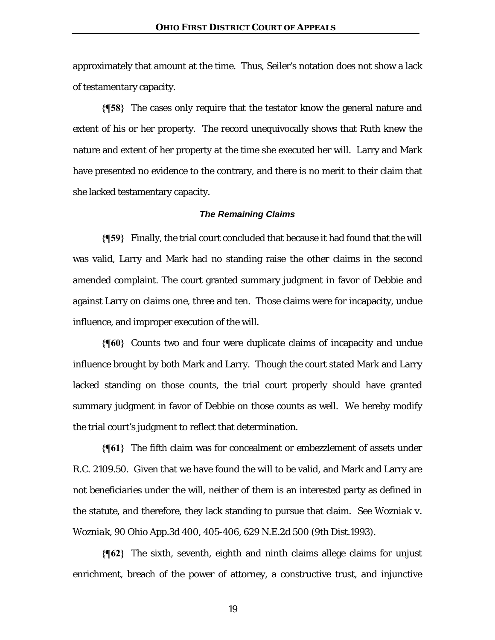approximately that amount at the time. Thus, Seiler's notation does not show a lack of testamentary capacity.

**{¶58}** The cases only require that the testator know the general nature and extent of his or her property. The record unequivocally shows that Ruth knew the nature and extent of her property at the time she executed her will. Larry and Mark have presented no evidence to the contrary, and there is no merit to their claim that she lacked testamentary capacity.

## *The Remaining Claims*

**{¶59}** Finally, the trial court concluded that because it had found that the will was valid, Larry and Mark had no standing raise the other claims in the second amended complaint. The court granted summary judgment in favor of Debbie and against Larry on claims one, three and ten. Those claims were for incapacity, undue influence, and improper execution of the will.

**{¶60}** Counts two and four were duplicate claims of incapacity and undue influence brought by both Mark and Larry. Though the court stated Mark and Larry lacked standing on those counts, the trial court properly should have granted summary judgment in favor of Debbie on those counts as well. We hereby modify the trial court's judgment to reflect that determination.

**{¶61}** The fifth claim was for concealment or embezzlement of assets under R.C. 2109.50. Given that we have found the will to be valid, and Mark and Larry are not beneficiaries under the will, neither of them is an interested party as defined in the statute, and therefore, they lack standing to pursue that claim. *See Wozniak v. Wozniak*, 90 Ohio App.3d 400, 405-406, 629 N.E.2d 500 (9th Dist.1993).

**{¶62}** The sixth, seventh, eighth and ninth claims allege claims for unjust enrichment, breach of the power of attorney, a constructive trust, and injunctive